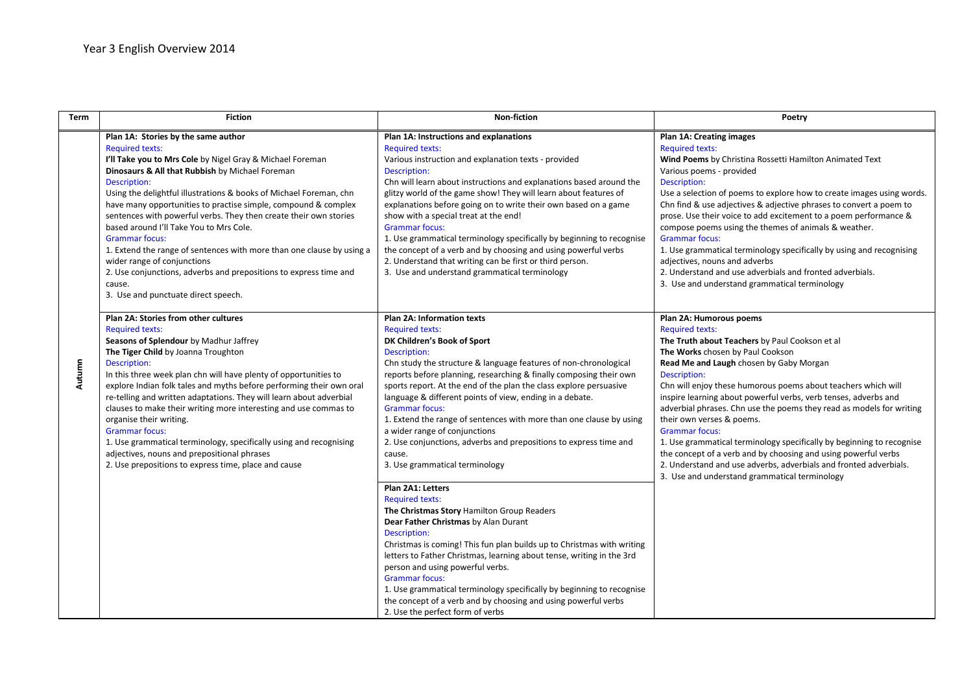| Term   | <b>Fiction</b>                                                                                                                                                                                                                                                                                                                                                                                                                                                                                                                                                                                                                                                                                               | Non-fiction                                                                                                                                                                                                                                                                                                                                                                                                                                                                                                                                                                                                                                                                      | Poetry                                                                                                                                                                                                                                                                                                                                                                                                                                                                                                                                                                                                                                                                                                                                |
|--------|--------------------------------------------------------------------------------------------------------------------------------------------------------------------------------------------------------------------------------------------------------------------------------------------------------------------------------------------------------------------------------------------------------------------------------------------------------------------------------------------------------------------------------------------------------------------------------------------------------------------------------------------------------------------------------------------------------------|----------------------------------------------------------------------------------------------------------------------------------------------------------------------------------------------------------------------------------------------------------------------------------------------------------------------------------------------------------------------------------------------------------------------------------------------------------------------------------------------------------------------------------------------------------------------------------------------------------------------------------------------------------------------------------|---------------------------------------------------------------------------------------------------------------------------------------------------------------------------------------------------------------------------------------------------------------------------------------------------------------------------------------------------------------------------------------------------------------------------------------------------------------------------------------------------------------------------------------------------------------------------------------------------------------------------------------------------------------------------------------------------------------------------------------|
| Autumn | Plan 1A: Stories by the same author<br><b>Required texts:</b><br>I'll Take you to Mrs Cole by Nigel Gray & Michael Foreman<br>Dinosaurs & All that Rubbish by Michael Foreman<br>Description:<br>Using the delightful illustrations & books of Michael Foreman, chn<br>have many opportunities to practise simple, compound & complex<br>sentences with powerful verbs. They then create their own stories<br>based around I'll Take You to Mrs Cole.<br><b>Grammar focus:</b><br>1. Extend the range of sentences with more than one clause by using a<br>wider range of conjunctions<br>2. Use conjunctions, adverbs and prepositions to express time and<br>cause.<br>3. Use and punctuate direct speech. | Plan 1A: Instructions and explanations<br><b>Required texts:</b><br>Various instruction and explanation texts - provided<br>Description:<br>Chn will learn about instructions and explanations based around the<br>glitzy world of the game show! They will learn about features of<br>explanations before going on to write their own based on a game<br>show with a special treat at the end!<br><b>Grammar focus:</b><br>1. Use grammatical terminology specifically by beginning to recognise<br>the concept of a verb and by choosing and using powerful verbs<br>2. Understand that writing can be first or third person.<br>3. Use and understand grammatical terminology | <b>Plan 1A: Creating images</b><br><b>Required texts:</b><br>Wind Poems by Christina Rossetti Hamilton Animated Text<br>Various poems - provided<br>Description:<br>Use a selection of poems to explore how to create images using words.<br>Chn find & use adjectives & adjective phrases to convert a poem to<br>prose. Use their voice to add excitement to a poem performance &<br>compose poems using the themes of animals & weather.<br><b>Grammar focus:</b><br>1. Use grammatical terminology specifically by using and recognising<br>adjectives, nouns and adverbs<br>2. Understand and use adverbials and fronted adverbials.<br>3. Use and understand grammatical terminology                                            |
|        | Plan 2A: Stories from other cultures<br><b>Required texts:</b><br>Seasons of Splendour by Madhur Jaffrey<br>The Tiger Child by Joanna Troughton<br>Description:<br>In this three week plan chn will have plenty of opportunities to<br>explore Indian folk tales and myths before performing their own oral<br>re-telling and written adaptations. They will learn about adverbial<br>clauses to make their writing more interesting and use commas to<br>organise their writing.<br><b>Grammar focus:</b><br>1. Use grammatical terminology, specifically using and recognising<br>adjectives, nouns and prepositional phrases<br>2. Use prepositions to express time, place and cause                      | <b>Plan 2A: Information texts</b><br><b>Required texts:</b><br>DK Children's Book of Sport<br>Description:<br>Chn study the structure & language features of non-chronological<br>reports before planning, researching & finally composing their own<br>sports report. At the end of the plan the class explore persuasive<br>language & different points of view, ending in a debate.<br><b>Grammar focus:</b><br>1. Extend the range of sentences with more than one clause by using<br>a wider range of conjunctions<br>2. Use conjunctions, adverbs and prepositions to express time and<br>cause.<br>3. Use grammatical terminology                                         | Plan 2A: Humorous poems<br><b>Required texts:</b><br>The Truth about Teachers by Paul Cookson et al<br>The Works chosen by Paul Cookson<br>Read Me and Laugh chosen by Gaby Morgan<br>Description:<br>Chn will enjoy these humorous poems about teachers which will<br>inspire learning about powerful verbs, verb tenses, adverbs and<br>adverbial phrases. Chn use the poems they read as models for writing<br>their own verses & poems.<br><b>Grammar focus:</b><br>1. Use grammatical terminology specifically by beginning to recognise<br>the concept of a verb and by choosing and using powerful verbs<br>2. Understand and use adverbs, adverbials and fronted adverbials.<br>3. Use and understand grammatical terminology |
|        |                                                                                                                                                                                                                                                                                                                                                                                                                                                                                                                                                                                                                                                                                                              | Plan 2A1: Letters<br><b>Required texts:</b><br>The Christmas Story Hamilton Group Readers<br>Dear Father Christmas by Alan Durant<br>Description:<br>Christmas is coming! This fun plan builds up to Christmas with writing<br>letters to Father Christmas, learning about tense, writing in the 3rd<br>person and using powerful verbs.<br><b>Grammar focus:</b><br>1. Use grammatical terminology specifically by beginning to recognise<br>the concept of a verb and by choosing and using powerful verbs<br>2. Use the perfect form of verbs                                                                                                                                 |                                                                                                                                                                                                                                                                                                                                                                                                                                                                                                                                                                                                                                                                                                                                       |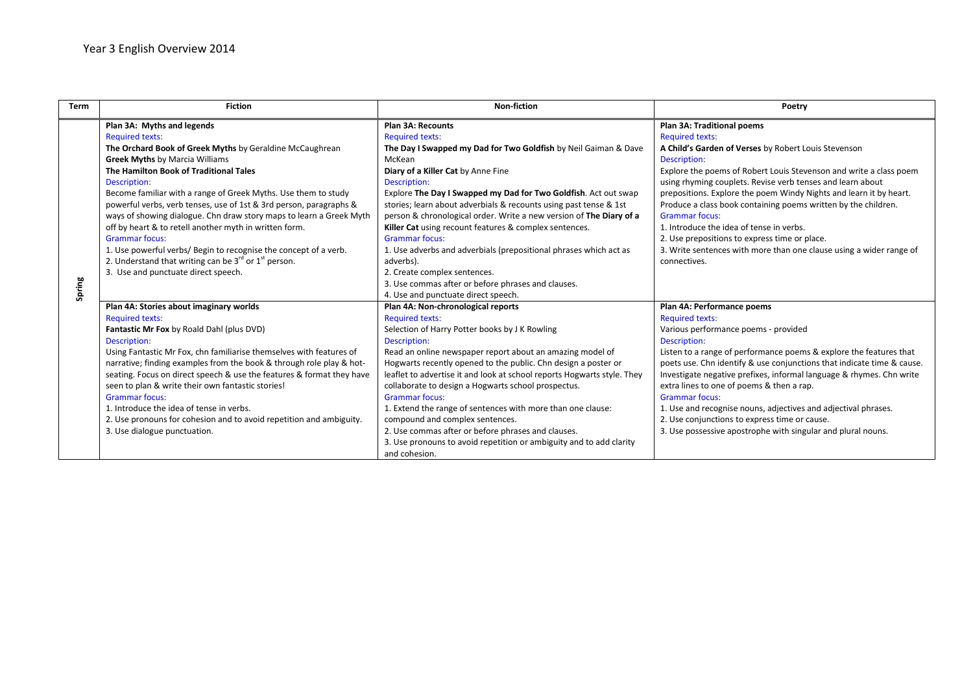| <b>Term</b> | <b>Fiction</b>                                                                                                                                                                                                                                                                                                                                                                                                                                                                                                                                                                                                                                                                                     | Non-fiction                                                                                                                                                                                                                                                                                                                                                                                                                                                                                                                                                                                                                                                                                            | Poetry                                                                                                                                                                                                                                                                                                                                                                                                                                                                                                                                                                                                                |
|-------------|----------------------------------------------------------------------------------------------------------------------------------------------------------------------------------------------------------------------------------------------------------------------------------------------------------------------------------------------------------------------------------------------------------------------------------------------------------------------------------------------------------------------------------------------------------------------------------------------------------------------------------------------------------------------------------------------------|--------------------------------------------------------------------------------------------------------------------------------------------------------------------------------------------------------------------------------------------------------------------------------------------------------------------------------------------------------------------------------------------------------------------------------------------------------------------------------------------------------------------------------------------------------------------------------------------------------------------------------------------------------------------------------------------------------|-----------------------------------------------------------------------------------------------------------------------------------------------------------------------------------------------------------------------------------------------------------------------------------------------------------------------------------------------------------------------------------------------------------------------------------------------------------------------------------------------------------------------------------------------------------------------------------------------------------------------|
| Spring      | Plan 3A: Myths and legends<br><b>Required texts:</b><br>The Orchard Book of Greek Myths by Geraldine McCaughrean<br><b>Greek Myths by Marcia Williams</b><br>The Hamilton Book of Traditional Tales<br>Description:<br>Become familiar with a range of Greek Myths. Use them to study<br>powerful verbs, verb tenses, use of 1st & 3rd person, paragraphs &<br>ways of showing dialogue. Chn draw story maps to learn a Greek Myth<br>off by heart & to retell another myth in written form.<br><b>Grammar focus:</b><br>1. Use powerful verbs/ Begin to recognise the concept of a verb.<br>2. Understand that writing can be $3^{rd}$ or $1^{st}$ person.<br>3. Use and punctuate direct speech. | <b>Plan 3A: Recounts</b><br><b>Required texts:</b><br>The Day I Swapped my Dad for Two Goldfish by Neil Gaiman & Dave<br>McKean<br>Diary of a Killer Cat by Anne Fine<br>Description:<br>Explore The Day I Swapped my Dad for Two Goldfish. Act out swap<br>stories; learn about adverbials & recounts using past tense & 1st<br>person & chronological order. Write a new version of The Diary of a<br>Killer Cat using recount features & complex sentences.<br><b>Grammar focus:</b><br>1. Use adverbs and adverbials (prepositional phrases which act as<br>adverbs).<br>2. Create complex sentences.<br>3. Use commas after or before phrases and clauses.<br>4. Use and punctuate direct speech. | Plan 3A: Traditional poems<br><b>Required texts:</b><br>A Child's Garden of Verses by Robert Louis Stevenson<br>Description:<br>Explore the poems of Robert Louis Stevenson and write a class poem<br>using rhyming couplets. Revise verb tenses and learn about<br>prepositions. Explore the poem Windy Nights and learn it by heart.<br>Produce a class book containing poems written by the children.<br><b>Grammar focus:</b><br>1. Introduce the idea of tense in verbs.<br>2. Use prepositions to express time or place.<br>3. Write sentences with more than one clause using a wider range of<br>connectives. |
|             | Plan 4A: Stories about imaginary worlds<br><b>Required texts:</b><br>Fantastic Mr Fox by Roald Dahl (plus DVD)<br>Description:<br>Using Fantastic Mr Fox, chn familiarise themselves with features of<br>narrative; finding examples from the book & through role play & hot-<br>seating. Focus on direct speech & use the features & format they have<br>seen to plan & write their own fantastic stories!<br><b>Grammar focus:</b><br>1. Introduce the idea of tense in verbs.<br>2. Use pronouns for cohesion and to avoid repetition and ambiguity.<br>3. Use dialogue punctuation.                                                                                                            | Plan 4A: Non-chronological reports<br><b>Required texts:</b><br>Selection of Harry Potter books by J K Rowling<br>Description:<br>Read an online newspaper report about an amazing model of<br>Hogwarts recently opened to the public. Chn design a poster or<br>leaflet to advertise it and look at school reports Hogwarts style. They<br>collaborate to design a Hogwarts school prospectus.<br><b>Grammar focus:</b><br>1. Extend the range of sentences with more than one clause:<br>compound and complex sentences.<br>2. Use commas after or before phrases and clauses.<br>3. Use pronouns to avoid repetition or ambiguity and to add clarity<br>and cohesion.                               | Plan 4A: Performance poems<br><b>Required texts:</b><br>Various performance poems - provided<br>Description:<br>Listen to a range of performance poems & explore the features that<br>poets use. Chn identify & use conjunctions that indicate time & cause.<br>Investigate negative prefixes, informal language & rhymes. Chn write<br>extra lines to one of poems & then a rap.<br><b>Grammar focus:</b><br>1. Use and recognise nouns, adjectives and adjectival phrases.<br>2. Use conjunctions to express time or cause.<br>3. Use possessive apostrophe with singular and plural nouns.                         |